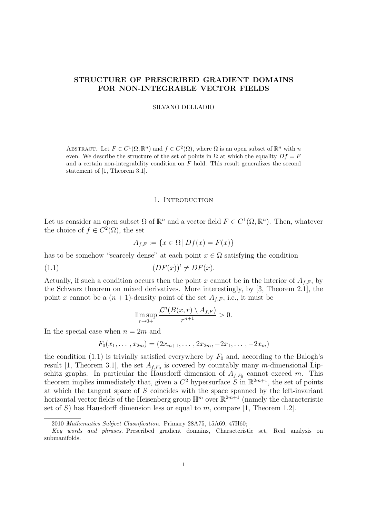# STRUCTURE OF PRESCRIBED GRADIENT DOMAINS FOR NON-INTEGRABLE VECTOR FIELDS

#### SILVANO DELLADIO

ABSTRACT. Let  $F \in C^1(\Omega, \mathbb{R}^n)$  and  $f \in C^2(\Omega)$ , where  $\Omega$  is an open subset of  $\mathbb{R}^n$  with n even. We describe the structure of the set of points in  $\Omega$  at which the equality  $Df = F$ and a certain non-integrability condition on  $F$  hold. This result generalizes the second statement of [1, Theorem 3.1].

### 1. Introduction

Let us consider an open subset  $\Omega$  of  $\mathbb{R}^n$  and a vector field  $F \in C^1(\Omega, \mathbb{R}^n)$ . Then, whatever the choice of  $f \in C^2(\Omega)$ , the set

$$
A_{f,F} := \{ x \in \Omega \, | \, Df(x) = F(x) \}
$$

has to be somehow "scarcely dense" at each point  $x \in \Omega$  satisfying the condition

(1.1)  $(DF(x))^t \neq DF(x).$ 

Actually, if such a condition occurs then the point x cannot be in the interior of  $A_{f,F}$ , by the Schwarz theorem on mixed derivatives. More interestingly, by [3, Theorem 2.1], the point x cannot be a  $(n+1)$ -density point of the set  $A_{f,F}$ , i.e., it must be

$$
\limsup_{r\to 0+}\frac{\mathcal{L}^n(B(x,r)\setminus A_{f,F})}{r^{n+1}}>0.
$$

In the special case when  $n = 2m$  and

$$
F_0(x_1,\ldots,x_{2m})=(2x_{m+1},\ldots,2x_{2m},-2x_1,\ldots,-2x_m)
$$

the condition (1.1) is trivially satisfied everywhere by  $F_0$  and, according to the Balogh's result [1, Theorem 3.1], the set  $A_{f,F_0}$  is covered by countably many m-dimensional Lipschitz graphs. In particular the Hausdorff dimension of  $A_{f,F_0}$  cannot exceed m. This theorem implies immediately that, given a  $C^2$  hypersurface  $S$  in  $\mathbb{R}^{2m+1}$ , the set of points at which the tangent space of S coincides with the space spanned by the left-invariant horizontal vector fields of the Heisenberg group  $\mathbb{H}^m$  over  $\mathbb{R}^{2m+1}$  (namely the characteristic set of S) has Hausdorff dimension less or equal to m, compare [1, Theorem 1.2].

<sup>2010</sup> Mathematics Subject Classification. Primary 28A75, 15A69, 47H60;

Key words and phrases. Prescribed gradient domains, Characteristic set, Real analysis on submanifolds.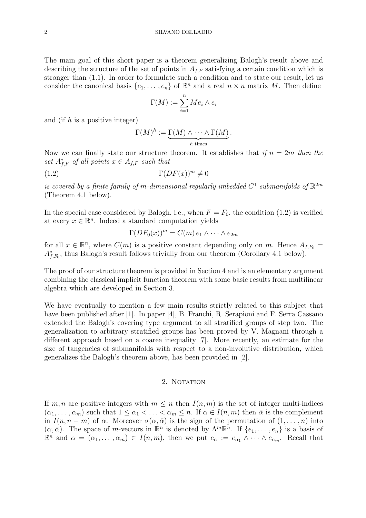The main goal of this short paper is a theorem generalizing Balogh's result above and describing the structure of the set of points in  $A_{f,F}$  satisfying a certain condition which is stronger than (1.1). In order to formulate such a condition and to state our result, let us consider the canonical basis  $\{e_1, \ldots, e_n\}$  of  $\mathbb{R}^n$  and a real  $n \times n$  matrix M. Then define

$$
\Gamma(M) := \sum_{i=1}^{n} Me_i \wedge e_i
$$

and (if  $h$  is a positive integer)

$$
\Gamma(M)^h := \underbrace{\Gamma(M) \wedge \cdots \wedge \Gamma(M)}_{h \text{ times}}.
$$

Now we can finally state our structure theorem. It establishes that if  $n = 2m$  then the set  $A_{f,F}^*$  of all points  $x \in A_{f,F}$  such that

$$
(1.2)\qquad \qquad \Gamma(DF(x))^m \neq 0
$$

is covered by a finite family of m-dimensional regularly imbedded  $C^1$  submanifolds of  $\mathbb{R}^{2m}$ (Theorem 4.1 below).

In the special case considered by Balogh, i.e., when  $F = F_0$ , the condition (1.2) is verified at every  $x \in \mathbb{R}^n$ . Indeed a standard computation yields

$$
\Gamma(DF_0(x))^m = C(m) e_1 \wedge \cdots \wedge e_{2m}
$$

for all  $x \in \mathbb{R}^n$ , where  $C(m)$  is a positive constant depending only on m. Hence  $A_{f,F_0} =$  $A_{f,F_0}^*$ , thus Balogh's result follows trivially from our theorem (Corollary 4.1 below).

The proof of our structure theorem is provided in Section 4 and is an elementary argument combining the classical implicit function theorem with some basic results from multilinear algebra which are developed in Section 3.

We have eventually to mention a few main results strictly related to this subject that have been published after [1]. In paper [4], B. Franchi, R. Serapioni and F. Serra Cassano extended the Balogh's covering type argument to all stratified groups of step two. The generalization to arbitrary stratified groups has been proved by V. Magnani through a different approach based on a coarea inequality [7]. More recently, an estimate for the size of tangencies of submanifolds with respect to a non-involutive distribution, which generalizes the Balogh's theorem above, has been provided in [2].

## 2. NOTATION

If m, n are positive integers with  $m \leq n$  then  $I(n, m)$  is the set of integer multi-indices  $(\alpha_1, \ldots, \alpha_m)$  such that  $1 \leq \alpha_1 < \ldots < \alpha_m \leq n$ . If  $\alpha \in I(n, m)$  then  $\bar{\alpha}$  is the complement in  $I(n, n-m)$  of  $\alpha$ . Moreover  $\sigma(\alpha, \bar{\alpha})$  is the sign of the permutation of  $(1, \ldots, n)$  into  $(\alpha, \bar{\alpha})$ . The space of m-vectors in  $\mathbb{R}^n$  is denoted by  $\Lambda^m \mathbb{R}^n$ . If  $\{e_1, \ldots, e_n\}$  is a basis of  $\mathbb{R}^n$  and  $\alpha = (\alpha_1, \ldots, \alpha_m) \in I(n,m)$ , then we put  $e_{\alpha} := e_{\alpha_1} \wedge \cdots \wedge e_{\alpha_m}$ . Recall that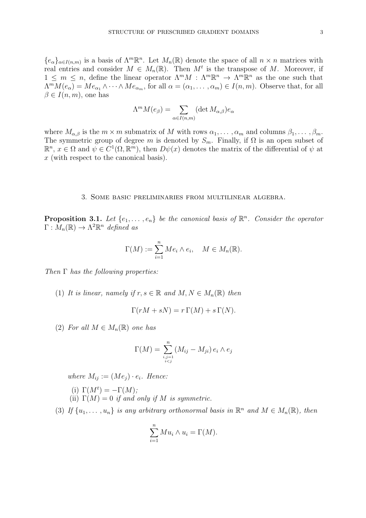${e_{\alpha}}_{\alpha\in I(n,m)}$  is a basis of  $\Lambda^m\mathbb{R}^n$ . Let  $M_n(\mathbb{R})$  denote the space of all  $n \times n$  matrices with real entries and consider  $M \in M_n(\mathbb{R})$ . Then  $M^t$  is the transpose of M. Moreover, if  $1 \leq m \leq n$ , define the linear operator  $\Lambda^m M$  :  $\Lambda^m \mathbb{R}^n \to \Lambda^m \mathbb{R}^n$  as the one such that  $\Lambda^m M(e_\alpha) = M e_{\alpha_1} \wedge \cdots \wedge M e_{\alpha_m}$ , for all  $\alpha = (\alpha_1, \ldots, \alpha_m) \in I(n,m)$ . Observe that, for all  $\beta \in I(n,m)$ , one has

$$
\Lambda^m M(e_\beta) = \sum_{\alpha \in I(n,m)} (\det M_{\alpha,\beta}) e_\alpha
$$

where  $M_{\alpha,\beta}$  is the  $m \times m$  submatrix of M with rows  $\alpha_1, \ldots, \alpha_m$  and columns  $\beta_1, \ldots, \beta_m$ . The symmetric group of degree m is denoted by  $S_m$ . Finally, if  $\Omega$  is an open subset of  $\mathbb{R}^n$ ,  $x \in \Omega$  and  $\psi \in C^1(\Omega, \mathbb{R}^m)$ , then  $D\psi(x)$  denotes the matrix of the differential of  $\psi$  at x (with respect to the canonical basis).

### 3. Some basic preliminaries from multilinear algebra.

**Proposition 3.1.** Let  $\{e_1, \ldots, e_n\}$  be the canonical basis of  $\mathbb{R}^n$ . Consider the operator  $\Gamma: \overline{M}_n(\mathbb{R}) \to \Lambda^2 \mathbb{R}^n$  defined as

$$
\Gamma(M) := \sum_{i=1}^{n} Me_i \wedge e_i, \quad M \in M_n(\mathbb{R}).
$$

Then  $\Gamma$  has the following properties:

(1) It is linear, namely if  $r, s \in \mathbb{R}$  and  $M, N \in M_n(\mathbb{R})$  then

$$
\Gamma(rM + sN) = r \Gamma(M) + s \Gamma(N).
$$

(2) For all  $M \in M_n(\mathbb{R})$  one has

$$
\Gamma(M) = \sum_{\substack{i,j=1 \ i
$$

where  $M_{ij} := (Me_i) \cdot e_i$ . Hence:

- (i)  $\Gamma(M^t) = -\Gamma(M);$
- (ii)  $\Gamma(M) = 0$  if and only if M is symmetric.

(3) If  $\{u_1, \ldots, u_n\}$  is any arbitrary orthonormal basis in  $\mathbb{R}^n$  and  $M \in M_n(\mathbb{R})$ , then

$$
\sum_{i=1}^{n} Mu_i \wedge u_i = \Gamma(M).
$$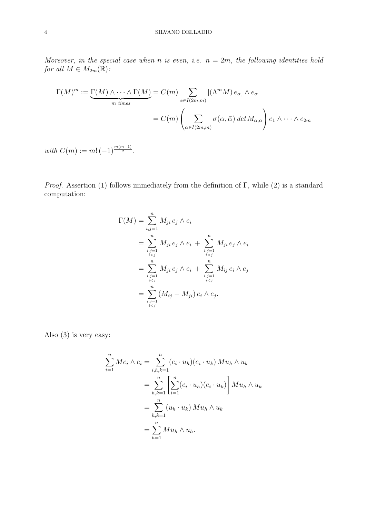## 4 SILVANO DELLADIO

Moreover, in the special case when n is even, i.e.  $n = 2m$ , the following identities hold for all  $M \in M_{2m}(\mathbb{R})$ :

$$
\Gamma(M)^m := \underbrace{\Gamma(M) \wedge \cdots \wedge \Gamma(M)}_{m \text{ times}} = C(m) \sum_{\alpha \in I(2m,m)} [(\Lambda^m M) e_{\alpha}] \wedge e_{\alpha}
$$

$$
= C(m) \left( \sum_{\alpha \in I(2m,m)} \sigma(\alpha, \bar{\alpha}) \det M_{\alpha, \bar{\alpha}} \right) e_1 \wedge \cdots \wedge e_{2m}
$$

with  $C(m) := m! (-1)^{\frac{m(m-1)}{2}}$ .

*Proof.* Assertion (1) follows immediately from the definition of Γ, while (2) is a standard computation:

$$
\Gamma(M) = \sum_{i,j=1}^{n} M_{ji} e_j \wedge e_i
$$
  
= 
$$
\sum_{\substack{i,j=1 \ ij}}^{n} M_{ji} e_j \wedge e_i
$$
  
= 
$$
\sum_{\substack{i,j=1 \ i  
= 
$$
\sum_{\substack{i,j=1 \ i
$$
$$

Also (3) is very easy:

$$
\sum_{i=1}^{n} Me_i \wedge e_i = \sum_{i,h,k=1}^{n} (e_i \cdot u_h)(e_i \cdot u_k) M u_h \wedge u_k
$$

$$
= \sum_{h,k=1}^{n} \left[ \sum_{i=1}^{n} (e_i \cdot u_h)(e_i \cdot u_k) \right] M u_h \wedge u_k
$$

$$
= \sum_{h,k=1}^{n} (u_h \cdot u_k) M u_h \wedge u_k
$$

$$
= \sum_{h=1}^{n} M u_h \wedge u_h.
$$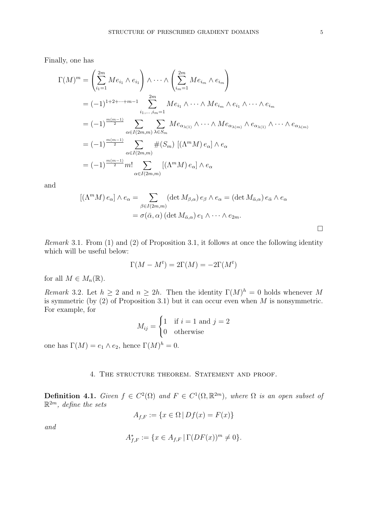Finally, one has

$$
\Gamma(M)^m = \left(\sum_{i_1=1}^{2m} Me_{i_1} \wedge e_{i_1}\right) \wedge \cdots \wedge \left(\sum_{i_m=1}^{2m} Me_{i_m} \wedge e_{i_m}\right)
$$
  
\n
$$
= (-1)^{1+2+\cdots+m-1} \sum_{i_1,\ldots,i_m=1}^{2m} Me_{i_1} \wedge \cdots \wedge Me_{i_m} \wedge e_{i_1} \wedge \cdots \wedge e_{i_m}
$$
  
\n
$$
= (-1)^{\frac{m(m-1)}{2}} \sum_{\alpha \in I(2m,m)} \sum_{\lambda \in S_m} Me_{\alpha_{\lambda(1)}} \wedge \cdots \wedge Me_{\alpha_{\lambda(m)}} \wedge e_{\alpha_{\lambda(1)}} \wedge \cdots \wedge e_{\alpha_{\lambda(m)}}
$$
  
\n
$$
= (-1)^{\frac{m(m-1)}{2}} \sum_{\alpha \in I(2m,m)} \#(S_m) \left[ (\Lambda^m M) e_{\alpha} \right] \wedge e_{\alpha}
$$
  
\n
$$
= (-1)^{\frac{m(m-1)}{2}} m! \sum_{\alpha \in I(2m,m)} [(\Lambda^m M) e_{\alpha}] \wedge e_{\alpha}
$$

and

$$
[(\Lambda^m M) e_{\alpha}] \wedge e_{\alpha} = \sum_{\beta \in I(2m,m)} (\det M_{\beta,\alpha}) e_{\beta} \wedge e_{\alpha} = (\det M_{\bar{\alpha},\alpha}) e_{\bar{\alpha}} \wedge e_{\alpha}
$$

$$
= \sigma(\bar{\alpha}, \alpha) (\det M_{\bar{\alpha},\alpha}) e_1 \wedge \cdots \wedge e_{2m}.
$$

Remark 3.1. From (1) and (2) of Proposition 3.1, it follows at once the following identity which will be useful below:

$$
\Gamma(M - M^t) = 2\Gamma(M) = -2\Gamma(M^t)
$$

for all  $M \in M_n(\mathbb{R})$ .

Remark 3.2. Let  $h \geq 2$  and  $n \geq 2h$ . Then the identity  $\Gamma(M)^h = 0$  holds whenever M is symmetric (by  $(2)$  of Proposition 3.1) but it can occur even when M is nonsymmetric. For example, for

$$
M_{ij} = \begin{cases} 1 & \text{if } i = 1 \text{ and } j = 2 \\ 0 & \text{otherwise} \end{cases}
$$

one has  $\Gamma(M) = e_1 \wedge e_2$ , hence  $\Gamma(M)^h = 0$ .

## 4. THE STRUCTURE THEOREM. STATEMENT AND PROOF.

**Definition 4.1.** Given  $f \in C^2(\Omega)$  and  $F \in C^1(\Omega, \mathbb{R}^{2m})$ , where  $\Omega$  is an open subset of  $\mathbb{R}^{2m}$ , define the sets

$$
A_{f,F} := \{ x \in \Omega \mid Df(x) = F(x) \}
$$

and

$$
A_{f,F}^* := \{ x \in A_{f,F} \, | \, \Gamma(DF(x))^m \neq 0 \}.
$$

 $\Box$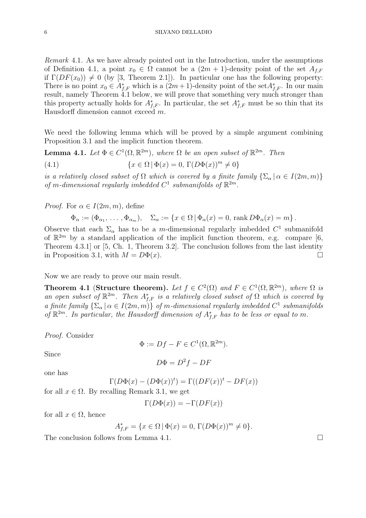Remark 4.1. As we have already pointed out in the Introduction, under the assumptions of Definition 4.1, a point  $x_0 \in \Omega$  cannot be a  $(2m + 1)$ -density point of the set  $A_{f,F}$ if  $\Gamma(DF(x_0)) \neq 0$  (by [3, Theorem 2.1]). In particular one has the following property: There is no point  $x_0 \in A_{f,F}^*$  which is a  $(2m+1)$ -density point of the set  $A_{f,F}^*$ . In our main result, namely Theorem 4.1 below, we will prove that something very much stronger than this property actually holds for  $A_{f,F}^*$ . In particular, the set  $A_{f,F}^*$  must be so thin that its Hausdorff dimension cannot exceed m.

We need the following lemma which will be proved by a simple argument combining Proposition 3.1 and the implicit function theorem.

**Lemma 4.1.** Let  $\Phi \in C^1(\Omega, \mathbb{R}^{2m})$ , where  $\Omega$  be an open subset of  $\mathbb{R}^{2m}$ . Then (4.1)  $\{x \in \Omega \mid \Phi(x) = 0, \Gamma(D\Phi(x))^m \neq 0\}$ 

is a relatively closed subset of  $\Omega$  which is covered by a finite family  $\{\Sigma_{\alpha} \mid \alpha \in I(2m, m)\}\$ of m-dimensional regularly imbedded  $C^1$  submanifolds of  $\mathbb{R}^{2m}$ .

*Proof.* For  $\alpha \in I(2m, m)$ , define

$$
\Phi_{\alpha} := (\Phi_{\alpha_1}, \dots, \Phi_{\alpha_m}), \quad \Sigma_{\alpha} := \{ x \in \Omega \mid \Phi_{\alpha}(x) = 0, \text{ rank } D\Phi_{\alpha}(x) = m \}.
$$

Observe that each  $\Sigma_{\alpha}$  has to be a m-dimensional regularly imbedded  $C^1$  submanifold of  $\mathbb{R}^{2m}$  by a standard application of the implicit function theorem, e.g. compare [6, Theorem 4.3.1] or [5, Ch. 1, Theorem 3.2]. The conclusion follows from the last identity in Proposition 3.1, with  $M = D\Phi(x)$ .

Now we are ready to prove our main result.

**Theorem 4.1 (Structure theorem).** Let  $f \in C^2(\Omega)$  and  $F \in C^1(\Omega, \mathbb{R}^{2m})$ , where  $\Omega$  is an open subset of  $\mathbb{R}^{2m}$ . Then  $A_{f,F}^*$  is a relatively closed subset of  $\Omega$  which is covered by a finite family  $\{\Sigma_{\alpha} \mid \alpha \in I(2m, m)\}\$  of m-dimensional regularly imbedded  $C^1$  submanifolds of  $\mathbb{R}^{2m}$ . In particular, the Hausdorff dimension of  $A_{f,F}^*$  has to be less or equal to m.

Proof. Consider

$$
\Phi := Df - F \in C^1(\Omega, \mathbb{R}^{2m}).
$$

Since

$$
D\Phi = D^2f - DF
$$

one has

$$
\Gamma(D\Phi(x) - (D\Phi(x))^t) = \Gamma((DF(x))^t - DF(x))
$$

for all  $x \in \Omega$ . By recalling Remark 3.1, we get

$$
\Gamma(D\Phi(x)) = -\Gamma(DF(x))
$$

for all  $x \in \Omega$ , hence

$$
A_{f,F}^* = \{ x \in \Omega \, | \, \Phi(x) = 0, \, \Gamma(D\Phi(x))^m \neq 0 \}.
$$

The conclusion follows from Lemma 4.1.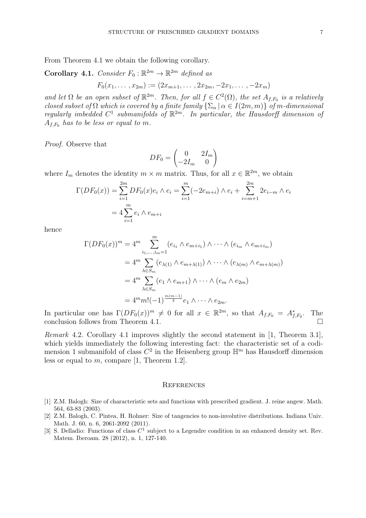From Theorem 4.1 we obtain the following corollary.

**Corollary 4.1.** Consider  $F_0 : \mathbb{R}^{2m} \to \mathbb{R}^{2m}$  defined as

$$
F_0(x_1,\ldots,x_{2m}) := (2x_{m+1},\ldots,2x_{2m},-2x_1,\ldots,-2x_m)
$$

and let  $\Omega$  be an open subset of  $\mathbb{R}^{2m}$ . Then, for all  $f \in C^2(\Omega)$ , the set  $A_{f,F_0}$  is a relatively closed subset of  $\Omega$  which is covered by a finite family  $\{\Sigma_{\alpha} \mid \alpha \in I(2m, m)\}\$  of m-dimensional regularly imbedded  $C^1$  submanifolds of  $\mathbb{R}^{2m}$ . In particular, the Hausdorff dimension of  $A_{f,F_0}$  has to be less or equal to m.

Proof. Observe that

$$
DF_0 = \begin{pmatrix} 0 & 2I_m \\ -2I_m & 0 \end{pmatrix}
$$

where  $I_m$  denotes the identity  $m \times m$  matrix. Thus, for all  $x \in \mathbb{R}^{2m}$ , we obtain

$$
\Gamma(DF_0(x)) = \sum_{i=1}^{2m} DF_0(x)e_i \wedge e_i = \sum_{i=1}^{m} (-2e_{m+i}) \wedge e_i + \sum_{i=m+1}^{2m} 2e_{i-m} \wedge e_i
$$

$$
= 4 \sum_{i=1}^{m} e_i \wedge e_{m+i}
$$

hence

$$
\Gamma(DF_0(x))^m = 4^m \sum_{i_1,\dots,i_m=1}^m (e_{i_1} \wedge e_{m+i_1}) \wedge \dots \wedge (e_{i_m} \wedge e_{m+i_m})
$$
  
=  $4^m \sum_{\lambda \in S_m} (e_{\lambda(1)} \wedge e_{m+\lambda(1)}) \wedge \dots \wedge (e_{\lambda(m)} \wedge e_{m+\lambda(m)})$   
=  $4^m \sum_{\lambda \in S_m} (e_1 \wedge e_{m+1}) \wedge \dots \wedge (e_m \wedge e_{2m})$   
=  $4^m m! (-1)^{\frac{m(m-1)}{2}} e_1 \wedge \dots \wedge e_{2m}.$ 

In particular one has  $\Gamma(DF_0(x))^m \neq 0$  for all  $x \in \mathbb{R}^{2m}$ , so that  $A_{f,F_0} = A_{f,F_0}^*$ . The conclusion follows from Theorem 4.1.

Remark 4.2. Corollary 4.1 improves slightly the second statement in [1, Theorem 3.1], which yields immediately the following interesting fact: the characteristic set of a codimension 1 submanifold of class  $C^2$  in the Heisenberg group  $\mathbb{H}^m$  has Hausdorff dimension less or equal to  $m$ , compare [1, Theorem 1.2].

#### **REFERENCES**

- [1] Z.M. Balogh: Size of characteristic sets and functions with prescribed gradient. J. reine angew. Math. 564, 63-83 (2003).
- [2] Z.M. Balogh, C. Pintea, H. Rohner: Size of tangencies to non-involutive distributions. Indiana Univ. Math. J. 60, n. 6, 2061-2092 (2011).
- [3] S. Delladio: Functions of class  $C^1$  subject to a Legendre condition in an enhanced density set. Rev. Matem. Iberoam. 28 (2012), n. 1, 127-140.